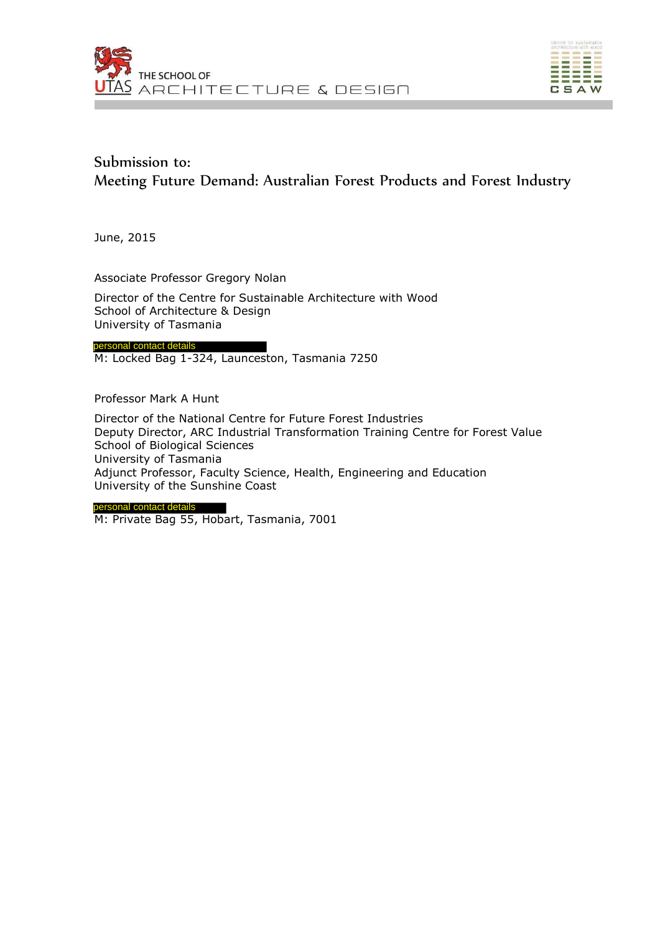



# Submission to: Meeting Future Demand: Australian Forest Products and Forest Industry

June, 2015

Associate Professor Gregory Nolan

Director of the Centre for Sustainable Architecture with Wood School of Architecture & Design University of Tasmania

personal contact details

M: Locked Bag 1-324, Launceston, Tasmania 7250

Professor Mark A Hunt

Director of the National Centre for Future Forest Industries Deputy Director, ARC Industrial Transformation Training Centre for Forest Value School of Biological Sciences University of Tasmania Adjunct Professor, Faculty Science, Health, Engineering and Education University of the Sunshine Coast

personal contact details

M: Private Bag 55, Hobart, Tasmania, 7001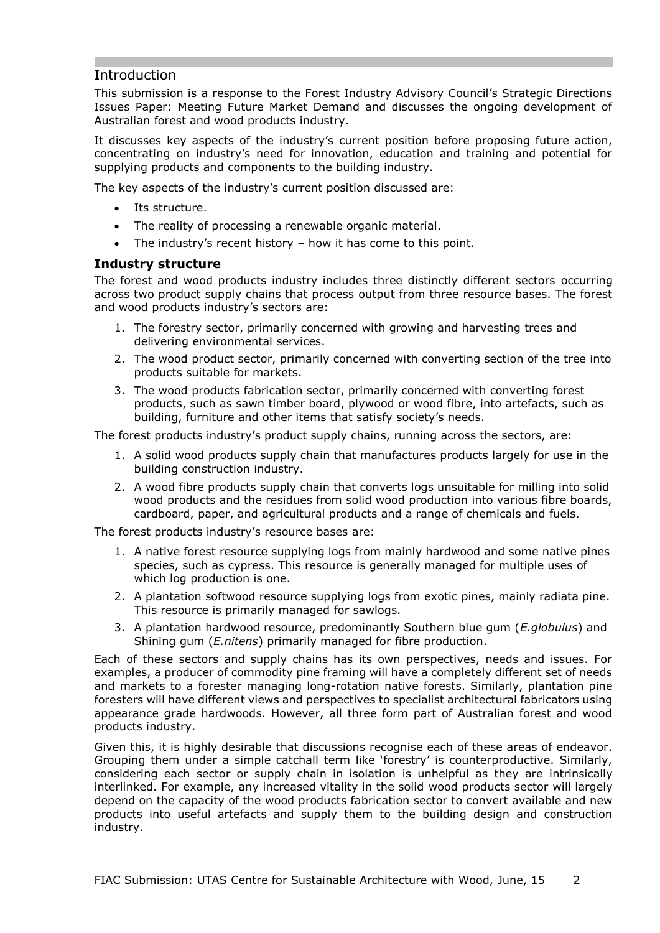# Introduction

This submission is a response to the Forest Industry Advisory Council's Strategic Directions Issues Paper: Meeting Future Market Demand and discusses the ongoing development of Australian forest and wood products industry.

It discusses key aspects of the industry's current position before proposing future action, concentrating on industry's need for innovation, education and training and potential for supplying products and components to the building industry.

The key aspects of the industry's current position discussed are:

- Its structure.
- The reality of processing a renewable organic material.
- The industry's recent history how it has come to this point.

### **Industry structure**

The forest and wood products industry includes three distinctly different sectors occurring across two product supply chains that process output from three resource bases. The forest and wood products industry's sectors are:

- 1. The forestry sector, primarily concerned with growing and harvesting trees and delivering environmental services.
- 2. The wood product sector, primarily concerned with converting section of the tree into products suitable for markets.
- 3. The wood products fabrication sector, primarily concerned with converting forest products, such as sawn timber board, plywood or wood fibre, into artefacts, such as building, furniture and other items that satisfy society's needs.

The forest products industry's product supply chains, running across the sectors, are:

- 1. A solid wood products supply chain that manufactures products largely for use in the building construction industry.
- 2. A wood fibre products supply chain that converts logs unsuitable for milling into solid wood products and the residues from solid wood production into various fibre boards, cardboard, paper, and agricultural products and a range of chemicals and fuels.

The forest products industry's resource bases are:

- 1. A native forest resource supplying logs from mainly hardwood and some native pines species, such as cypress. This resource is generally managed for multiple uses of which log production is one.
- 2. A plantation softwood resource supplying logs from exotic pines, mainly radiata pine. This resource is primarily managed for sawlogs.
- 3. A plantation hardwood resource, predominantly Southern blue gum (*E.globulus*) and Shining gum (*E.nitens*) primarily managed for fibre production.

Each of these sectors and supply chains has its own perspectives, needs and issues. For examples, a producer of commodity pine framing will have a completely different set of needs and markets to a forester managing long-rotation native forests. Similarly, plantation pine foresters will have different views and perspectives to specialist architectural fabricators using appearance grade hardwoods. However, all three form part of Australian forest and wood products industry.

Given this, it is highly desirable that discussions recognise each of these areas of endeavor. Grouping them under a simple catchall term like 'forestry' is counterproductive. Similarly, considering each sector or supply chain in isolation is unhelpful as they are intrinsically interlinked. For example, any increased vitality in the solid wood products sector will largely depend on the capacity of the wood products fabrication sector to convert available and new products into useful artefacts and supply them to the building design and construction industry.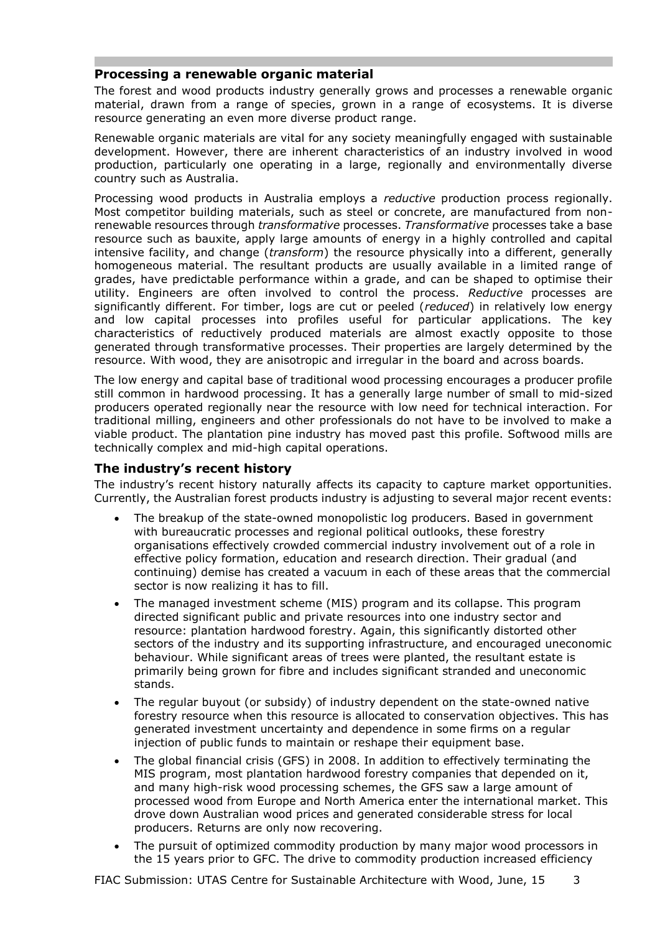## **Processing a renewable organic material**

The forest and wood products industry generally grows and processes a renewable organic material, drawn from a range of species, grown in a range of ecosystems. It is diverse resource generating an even more diverse product range.

Renewable organic materials are vital for any society meaningfully engaged with sustainable development. However, there are inherent characteristics of an industry involved in wood production, particularly one operating in a large, regionally and environmentally diverse country such as Australia.

Processing wood products in Australia employs a *reductive* production process regionally. Most competitor building materials, such as steel or concrete, are manufactured from nonrenewable resources through *transformative* processes. *Transformative* processes take a base resource such as bauxite, apply large amounts of energy in a highly controlled and capital intensive facility, and change (*transform*) the resource physically into a different, generally homogeneous material. The resultant products are usually available in a limited range of grades, have predictable performance within a grade, and can be shaped to optimise their utility. Engineers are often involved to control the process. *Reductive* processes are significantly different. For timber, logs are cut or peeled (*reduced*) in relatively low energy and low capital processes into profiles useful for particular applications. The key characteristics of reductively produced materials are almost exactly opposite to those generated through transformative processes. Their properties are largely determined by the resource. With wood, they are anisotropic and irregular in the board and across boards.

The low energy and capital base of traditional wood processing encourages a producer profile still common in hardwood processing. It has a generally large number of small to mid-sized producers operated regionally near the resource with low need for technical interaction. For traditional milling, engineers and other professionals do not have to be involved to make a viable product. The plantation pine industry has moved past this profile. Softwood mills are technically complex and mid-high capital operations.

### **The industry's recent history**

The industry's recent history naturally affects its capacity to capture market opportunities. Currently, the Australian forest products industry is adjusting to several major recent events:

- The breakup of the state-owned monopolistic log producers. Based in government with bureaucratic processes and regional political outlooks, these forestry organisations effectively crowded commercial industry involvement out of a role in effective policy formation, education and research direction. Their gradual (and continuing) demise has created a vacuum in each of these areas that the commercial sector is now realizing it has to fill.
- The managed investment scheme (MIS) program and its collapse. This program directed significant public and private resources into one industry sector and resource: plantation hardwood forestry. Again, this significantly distorted other sectors of the industry and its supporting infrastructure, and encouraged uneconomic behaviour. While significant areas of trees were planted, the resultant estate is primarily being grown for fibre and includes significant stranded and uneconomic stands.
- The regular buyout (or subsidy) of industry dependent on the state-owned native forestry resource when this resource is allocated to conservation objectives. This has generated investment uncertainty and dependence in some firms on a regular injection of public funds to maintain or reshape their equipment base.
- The global financial crisis (GFS) in 2008. In addition to effectively terminating the MIS program, most plantation hardwood forestry companies that depended on it, and many high-risk wood processing schemes, the GFS saw a large amount of processed wood from Europe and North America enter the international market. This drove down Australian wood prices and generated considerable stress for local producers. Returns are only now recovering.
- The pursuit of optimized commodity production by many major wood processors in the 15 years prior to GFC. The drive to commodity production increased efficiency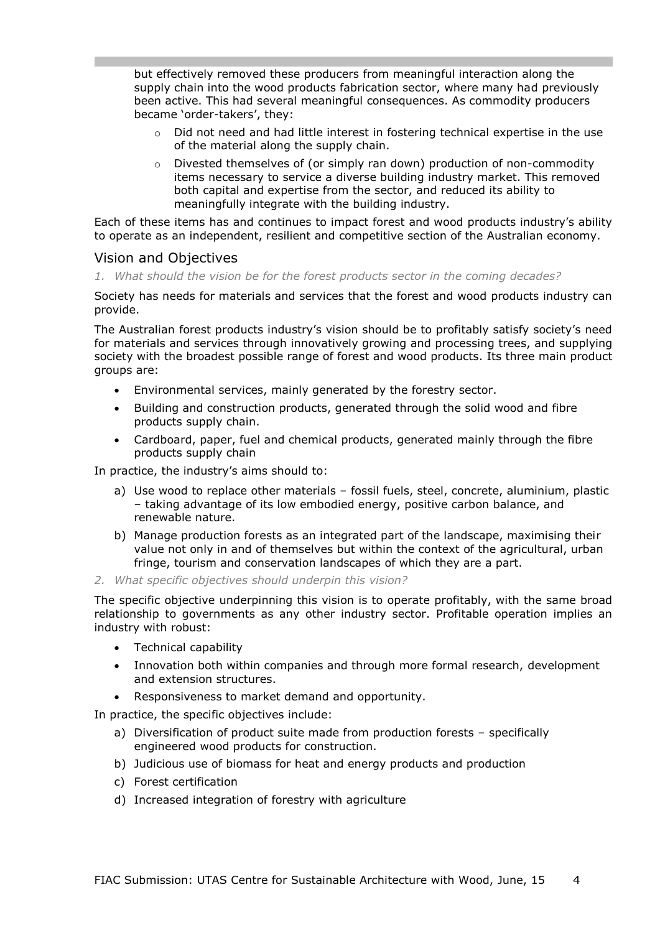but effectively removed these producers from meaningful interaction along the supply chain into the wood products fabrication sector, where many had previously been active. This had several meaningful consequences. As commodity producers became 'order-takers', they:

- $\circ$  Did not need and had little interest in fostering technical expertise in the use of the material along the supply chain.
- o Divested themselves of (or simply ran down) production of non-commodity items necessary to service a diverse building industry market. This removed both capital and expertise from the sector, and reduced its ability to meaningfully integrate with the building industry.

Each of these items has and continues to impact forest and wood products industry's ability to operate as an independent, resilient and competitive section of the Australian economy.

### Vision and Objectives

*1. What should the vision be for the forest products sector in the coming decades?*

Society has needs for materials and services that the forest and wood products industry can provide.

The Australian forest products industry's vision should be to profitably satisfy society's need for materials and services through innovatively growing and processing trees, and supplying society with the broadest possible range of forest and wood products. Its three main product groups are:

- Environmental services, mainly generated by the forestry sector.
- Building and construction products, generated through the solid wood and fibre products supply chain.
- Cardboard, paper, fuel and chemical products, generated mainly through the fibre products supply chain

In practice, the industry's aims should to:

- a) Use wood to replace other materials fossil fuels, steel, concrete, aluminium, plastic – taking advantage of its low embodied energy, positive carbon balance, and renewable nature.
- b) Manage production forests as an integrated part of the landscape, maximising their value not only in and of themselves but within the context of the agricultural, urban fringe, tourism and conservation landscapes of which they are a part.
- *2. What specific objectives should underpin this vision?*

The specific objective underpinning this vision is to operate profitably, with the same broad relationship to governments as any other industry sector. Profitable operation implies an industry with robust:

- Technical capability
- Innovation both within companies and through more formal research, development and extension structures.
- Responsiveness to market demand and opportunity.

In practice, the specific objectives include:

- a) Diversification of product suite made from production forests specifically engineered wood products for construction.
- b) Judicious use of biomass for heat and energy products and production
- c) Forest certification
- d) Increased integration of forestry with agriculture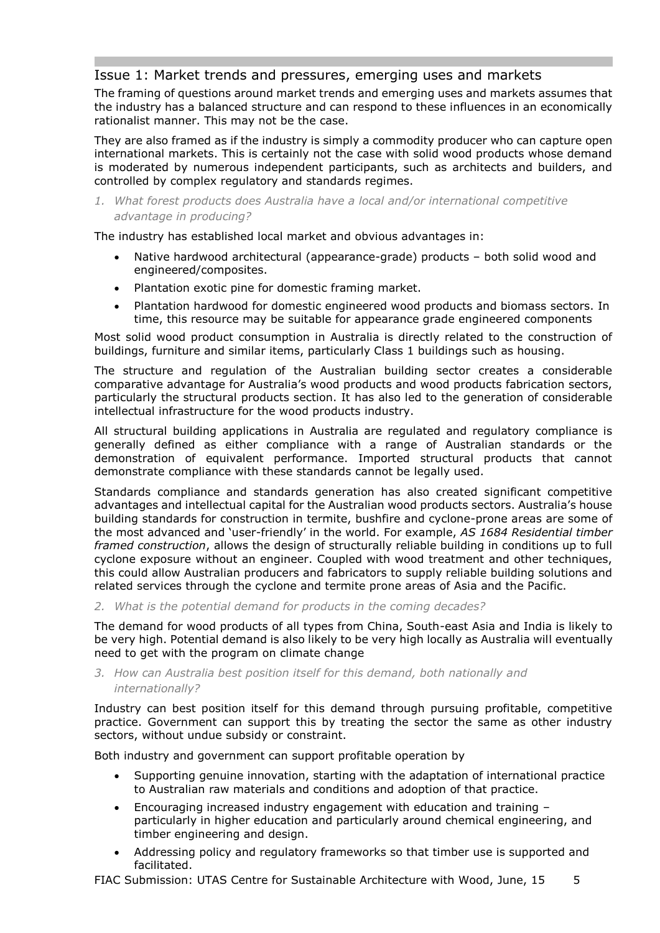# Issue 1: Market trends and pressures, emerging uses and markets

The framing of questions around market trends and emerging uses and markets assumes that the industry has a balanced structure and can respond to these influences in an economically rationalist manner. This may not be the case.

They are also framed as if the industry is simply a commodity producer who can capture open international markets. This is certainly not the case with solid wood products whose demand is moderated by numerous independent participants, such as architects and builders, and controlled by complex regulatory and standards regimes.

*1. What forest products does Australia have a local and/or international competitive advantage in producing?*

The industry has established local market and obvious advantages in:

- Native hardwood architectural (appearance-grade) products both solid wood and engineered/composites.
- Plantation exotic pine for domestic framing market.
- Plantation hardwood for domestic engineered wood products and biomass sectors. In time, this resource may be suitable for appearance grade engineered components

Most solid wood product consumption in Australia is directly related to the construction of buildings, furniture and similar items, particularly Class 1 buildings such as housing.

The structure and regulation of the Australian building sector creates a considerable comparative advantage for Australia's wood products and wood products fabrication sectors, particularly the structural products section. It has also led to the generation of considerable intellectual infrastructure for the wood products industry.

All structural building applications in Australia are regulated and regulatory compliance is generally defined as either compliance with a range of Australian standards or the demonstration of equivalent performance. Imported structural products that cannot demonstrate compliance with these standards cannot be legally used.

Standards compliance and standards generation has also created significant competitive advantages and intellectual capital for the Australian wood products sectors. Australia's house building standards for construction in termite, bushfire and cyclone-prone areas are some of the most advanced and 'user-friendly' in the world. For example, *AS 1684 Residential timber framed construction*, allows the design of structurally reliable building in conditions up to full cyclone exposure without an engineer. Coupled with wood treatment and other techniques, this could allow Australian producers and fabricators to supply reliable building solutions and related services through the cyclone and termite prone areas of Asia and the Pacific.

*2. What is the potential demand for products in the coming decades?*

The demand for wood products of all types from China, South-east Asia and India is likely to be very high. Potential demand is also likely to be very high locally as Australia will eventually need to get with the program on climate change

### *3. How can Australia best position itself for this demand, both nationally and internationally?*

Industry can best position itself for this demand through pursuing profitable, competitive practice. Government can support this by treating the sector the same as other industry sectors, without undue subsidy or constraint.

Both industry and government can support profitable operation by

- Supporting genuine innovation, starting with the adaptation of international practice to Australian raw materials and conditions and adoption of that practice.
- Encouraging increased industry engagement with education and training particularly in higher education and particularly around chemical engineering, and timber engineering and design.
- Addressing policy and regulatory frameworks so that timber use is supported and facilitated.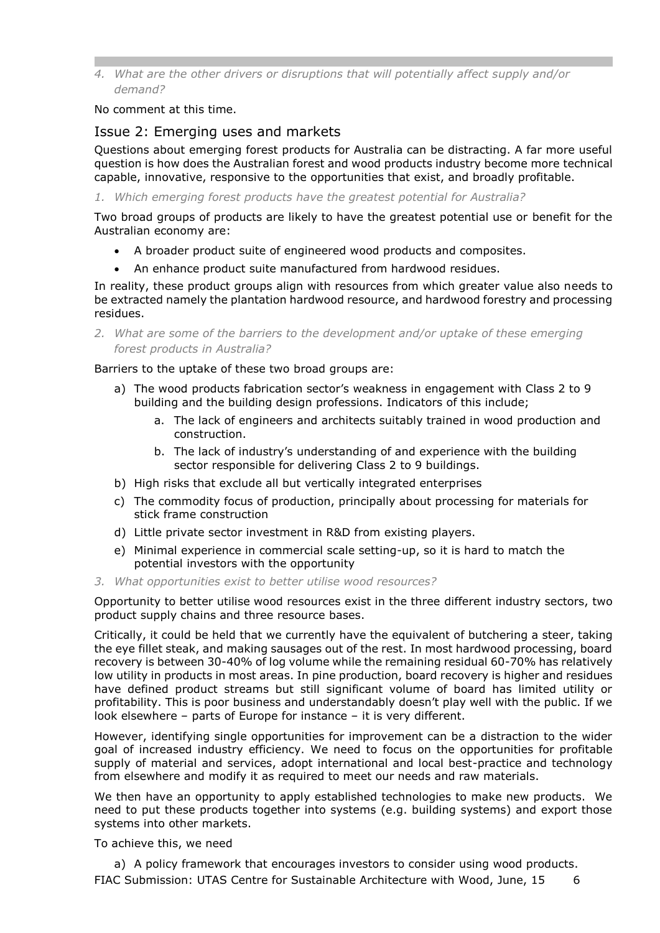*4. What are the other drivers or disruptions that will potentially affect supply and/or demand?*

No comment at this time.

## Issue 2: Emerging uses and markets

Questions about emerging forest products for Australia can be distracting. A far more useful question is how does the Australian forest and wood products industry become more technical capable, innovative, responsive to the opportunities that exist, and broadly profitable.

*1. Which emerging forest products have the greatest potential for Australia?*

Two broad groups of products are likely to have the greatest potential use or benefit for the Australian economy are:

- A broader product suite of engineered wood products and composites.
- An enhance product suite manufactured from hardwood residues.

In reality, these product groups align with resources from which greater value also needs to be extracted namely the plantation hardwood resource, and hardwood forestry and processing residues.

*2. What are some of the barriers to the development and/or uptake of these emerging forest products in Australia?*

Barriers to the uptake of these two broad groups are:

- a) The wood products fabrication sector's weakness in engagement with Class 2 to 9 building and the building design professions. Indicators of this include;
	- a. The lack of engineers and architects suitably trained in wood production and construction.
	- b. The lack of industry's understanding of and experience with the building sector responsible for delivering Class 2 to 9 buildings.
- b) High risks that exclude all but vertically integrated enterprises
- c) The commodity focus of production, principally about processing for materials for stick frame construction
- d) Little private sector investment in R&D from existing players.
- e) Minimal experience in commercial scale setting-up, so it is hard to match the potential investors with the opportunity
- *3. What opportunities exist to better utilise wood resources?*

Opportunity to better utilise wood resources exist in the three different industry sectors, two product supply chains and three resource bases.

Critically, it could be held that we currently have the equivalent of butchering a steer, taking the eye fillet steak, and making sausages out of the rest. In most hardwood processing, board recovery is between 30-40% of log volume while the remaining residual 60-70% has relatively low utility in products in most areas. In pine production, board recovery is higher and residues have defined product streams but still significant volume of board has limited utility or profitability. This is poor business and understandably doesn't play well with the public. If we look elsewhere – parts of Europe for instance – it is very different.

However, identifying single opportunities for improvement can be a distraction to the wider goal of increased industry efficiency. We need to focus on the opportunities for profitable supply of material and services, adopt international and local best-practice and technology from elsewhere and modify it as required to meet our needs and raw materials.

We then have an opportunity to apply established technologies to make new products. We need to put these products together into systems (e.g. building systems) and export those systems into other markets.

To achieve this, we need

FIAC Submission: UTAS Centre for Sustainable Architecture with Wood, June, 15 6 a) A policy framework that encourages investors to consider using wood products.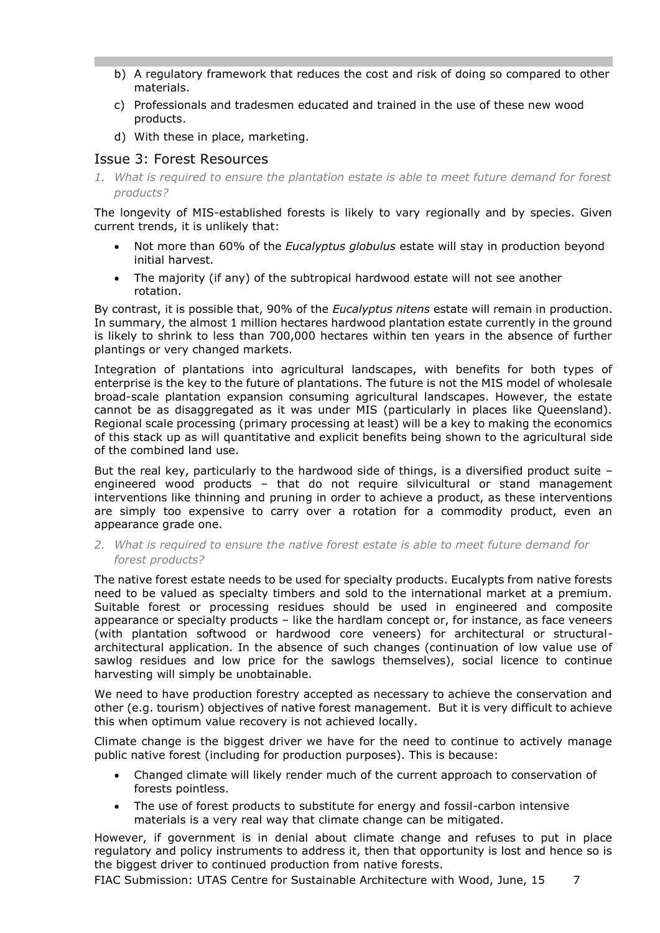- b) A regulatory framework that reduces the cost and risk of doing so compared to other materials.
- c) Professionals and tradesmen educated and trained in the use of these new wood products.
- d) With these in place, marketing.

# Issue 3: Forest Resources

*1. What is required to ensure the plantation estate is able to meet future demand for forest products?*

The longevity of MIS-established forests is likely to vary regionally and by species. Given current trends, it is unlikely that:

- Not more than 60% of the *Eucalyptus globulus* estate will stay in production beyond initial harvest.
- The majority (if any) of the subtropical hardwood estate will not see another rotation.

By contrast, it is possible that, 90% of the *Eucalyptus nitens* estate will remain in production. In summary, the almost 1 million hectares hardwood plantation estate currently in the ground is likely to shrink to less than 700,000 hectares within ten years in the absence of further plantings or very changed markets.

Integration of plantations into agricultural landscapes, with benefits for both types of enterprise is the key to the future of plantations. The future is not the MIS model of wholesale broad-scale plantation expansion consuming agricultural landscapes. However, the estate cannot be as disaggregated as it was under MIS (particularly in places like Queensland). Regional scale processing (primary processing at least) will be a key to making the economics of this stack up as will quantitative and explicit benefits being shown to the agricultural side of the combined land use.

But the real key, particularly to the hardwood side of things, is a diversified product suite engineered wood products – that do not require silvicultural or stand management interventions like thinning and pruning in order to achieve a product, as these interventions are simply too expensive to carry over a rotation for a commodity product, even an appearance grade one.

*2. What is required to ensure the native forest estate is able to meet future demand for forest products?*

The native forest estate needs to be used for specialty products. Eucalypts from native forests need to be valued as specialty timbers and sold to the international market at a premium. Suitable forest or processing residues should be used in engineered and composite appearance or specialty products – like the hardlam concept or, for instance, as face veneers (with plantation softwood or hardwood core veneers) for architectural or structuralarchitectural application. In the absence of such changes (continuation of low value use of sawlog residues and low price for the sawlogs themselves), social licence to continue harvesting will simply be unobtainable.

We need to have production forestry accepted as necessary to achieve the conservation and other (e.g. tourism) objectives of native forest management. But it is very difficult to achieve this when optimum value recovery is not achieved locally.

Climate change is the biggest driver we have for the need to continue to actively manage public native forest (including for production purposes). This is because:

- Changed climate will likely render much of the current approach to conservation of forests pointless.
- The use of forest products to substitute for energy and fossil-carbon intensive materials is a very real way that climate change can be mitigated.

However, if government is in denial about climate change and refuses to put in place regulatory and policy instruments to address it, then that opportunity is lost and hence so is the biggest driver to continued production from native forests.

FIAC Submission: UTAS Centre for Sustainable Architecture with Wood, June, 15  $\overline{7}$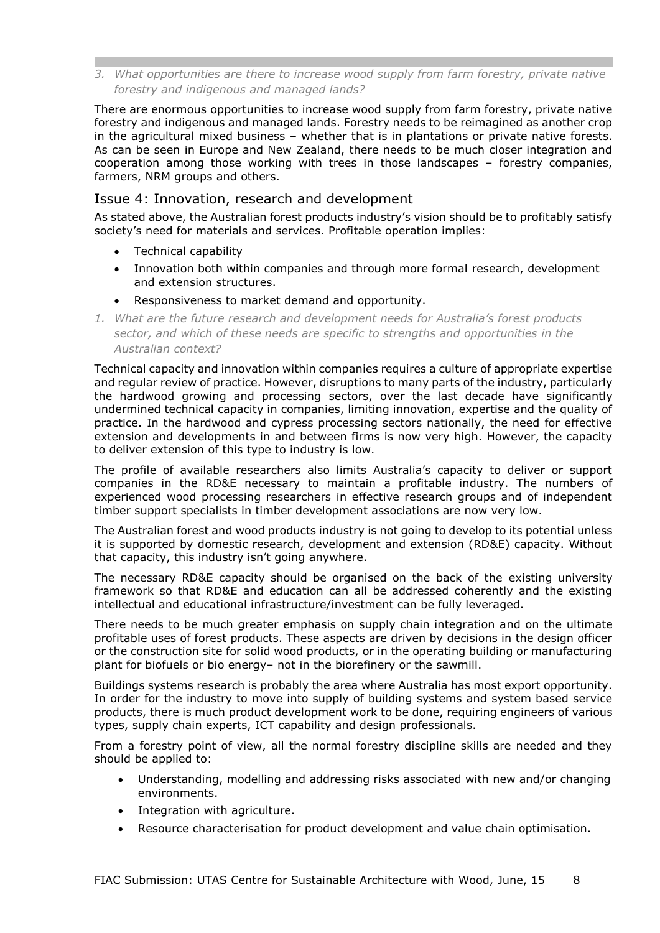*3. What opportunities are there to increase wood supply from farm forestry, private native forestry and indigenous and managed lands?*

There are enormous opportunities to increase wood supply from farm forestry, private native forestry and indigenous and managed lands. Forestry needs to be reimagined as another crop in the agricultural mixed business – whether that is in plantations or private native forests. As can be seen in Europe and New Zealand, there needs to be much closer integration and cooperation among those working with trees in those landscapes – forestry companies, farmers, NRM groups and others.

## Issue 4: Innovation, research and development

As stated above, the Australian forest products industry's vision should be to profitably satisfy society's need for materials and services. Profitable operation implies:

- Technical capability
- Innovation both within companies and through more formal research, development and extension structures.
- Responsiveness to market demand and opportunity.
- *1. What are the future research and development needs for Australia's forest products sector, and which of these needs are specific to strengths and opportunities in the Australian context?*

Technical capacity and innovation within companies requires a culture of appropriate expertise and regular review of practice. However, disruptions to many parts of the industry, particularly the hardwood growing and processing sectors, over the last decade have significantly undermined technical capacity in companies, limiting innovation, expertise and the quality of practice. In the hardwood and cypress processing sectors nationally, the need for effective extension and developments in and between firms is now very high. However, the capacity to deliver extension of this type to industry is low.

The profile of available researchers also limits Australia's capacity to deliver or support companies in the RD&E necessary to maintain a profitable industry. The numbers of experienced wood processing researchers in effective research groups and of independent timber support specialists in timber development associations are now very low.

The Australian forest and wood products industry is not going to develop to its potential unless it is supported by domestic research, development and extension (RD&E) capacity. Without that capacity, this industry isn't going anywhere.

The necessary RD&E capacity should be organised on the back of the existing university framework so that RD&E and education can all be addressed coherently and the existing intellectual and educational infrastructure/investment can be fully leveraged.

There needs to be much greater emphasis on supply chain integration and on the ultimate profitable uses of forest products. These aspects are driven by decisions in the design officer or the construction site for solid wood products, or in the operating building or manufacturing plant for biofuels or bio energy– not in the biorefinery or the sawmill.

Buildings systems research is probably the area where Australia has most export opportunity. In order for the industry to move into supply of building systems and system based service products, there is much product development work to be done, requiring engineers of various types, supply chain experts, ICT capability and design professionals.

From a forestry point of view, all the normal forestry discipline skills are needed and they should be applied to:

- Understanding, modelling and addressing risks associated with new and/or changing environments.
- Integration with agriculture.
- Resource characterisation for product development and value chain optimisation.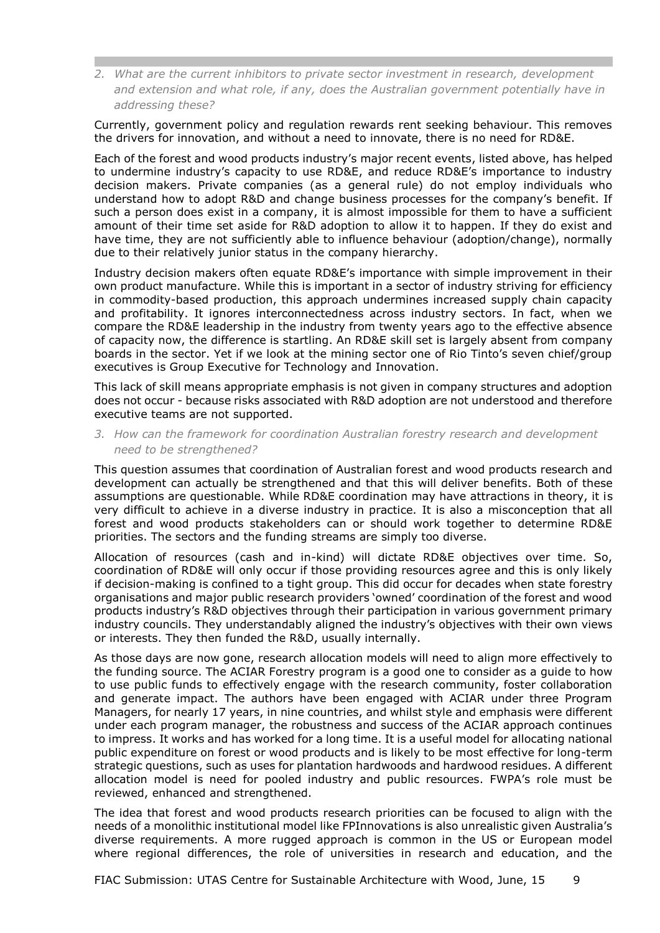*2. What are the current inhibitors to private sector investment in research, development and extension and what role, if any, does the Australian government potentially have in addressing these?*

Currently, government policy and regulation rewards rent seeking behaviour. This removes the drivers for innovation, and without a need to innovate, there is no need for RD&E.

Each of the forest and wood products industry's major recent events, listed above, has helped to undermine industry's capacity to use RD&E, and reduce RD&E's importance to industry decision makers. Private companies (as a general rule) do not employ individuals who understand how to adopt R&D and change business processes for the company's benefit. If such a person does exist in a company, it is almost impossible for them to have a sufficient amount of their time set aside for R&D adoption to allow it to happen. If they do exist and have time, they are not sufficiently able to influence behaviour (adoption/change), normally due to their relatively junior status in the company hierarchy.

Industry decision makers often equate RD&E's importance with simple improvement in their own product manufacture. While this is important in a sector of industry striving for efficiency in commodity-based production, this approach undermines increased supply chain capacity and profitability. It ignores interconnectedness across industry sectors. In fact, when we compare the RD&E leadership in the industry from twenty years ago to the effective absence of capacity now, the difference is startling. An RD&E skill set is largely absent from company boards in the sector. Yet if we look at the mining sector one of Rio Tinto's seven chief/group executives is Group Executive for Technology and Innovation.

This lack of skill means appropriate emphasis is not given in company structures and adoption does not occur - because risks associated with R&D adoption are not understood and therefore executive teams are not supported.

*3. How can the framework for coordination Australian forestry research and development need to be strengthened?*

This question assumes that coordination of Australian forest and wood products research and development can actually be strengthened and that this will deliver benefits. Both of these assumptions are questionable. While RD&E coordination may have attractions in theory, it is very difficult to achieve in a diverse industry in practice. It is also a misconception that all forest and wood products stakeholders can or should work together to determine RD&E priorities. The sectors and the funding streams are simply too diverse.

Allocation of resources (cash and in-kind) will dictate RD&E objectives over time. So, coordination of RD&E will only occur if those providing resources agree and this is only likely if decision-making is confined to a tight group. This did occur for decades when state forestry organisations and major public research providers 'owned' coordination of the forest and wood products industry's R&D objectives through their participation in various government primary industry councils. They understandably aligned the industry's objectives with their own views or interests. They then funded the R&D, usually internally.

As those days are now gone, research allocation models will need to align more effectively to the funding source. The ACIAR Forestry program is a good one to consider as a guide to how to use public funds to effectively engage with the research community, foster collaboration and generate impact. The authors have been engaged with ACIAR under three Program Managers, for nearly 17 years, in nine countries, and whilst style and emphasis were different under each program manager, the robustness and success of the ACIAR approach continues to impress. It works and has worked for a long time. It is a useful model for allocating national public expenditure on forest or wood products and is likely to be most effective for long-term strategic questions, such as uses for plantation hardwoods and hardwood residues. A different allocation model is need for pooled industry and public resources. FWPA's role must be reviewed, enhanced and strengthened.

The idea that forest and wood products research priorities can be focused to align with the needs of a monolithic institutional model like FPInnovations is also unrealistic given Australia's diverse requirements. A more rugged approach is common in the US or European model where regional differences, the role of universities in research and education, and the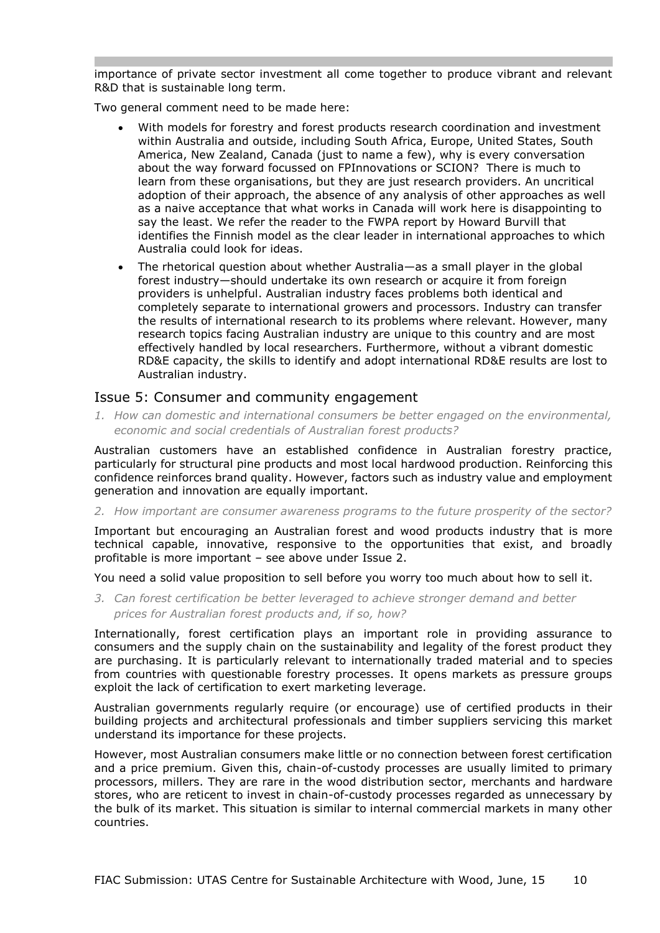importance of private sector investment all come together to produce vibrant and relevant R&D that is sustainable long term.

Two general comment need to be made here:

- With models for forestry and forest products research coordination and investment within Australia and outside, including South Africa, Europe, United States, South America, New Zealand, Canada (just to name a few), why is every conversation about the way forward focussed on FPInnovations or SCION? There is much to learn from these organisations, but they are just research providers. An uncritical adoption of their approach, the absence of any analysis of other approaches as well as a naive acceptance that what works in Canada will work here is disappointing to say the least. We refer the reader to the FWPA report by Howard Burvill that identifies the Finnish model as the clear leader in international approaches to which Australia could look for ideas.
- The rhetorical question about whether Australia—as a small player in the global forest industry—should undertake its own research or acquire it from foreign providers is unhelpful. Australian industry faces problems both identical and completely separate to international growers and processors. Industry can transfer the results of international research to its problems where relevant. However, many research topics facing Australian industry are unique to this country and are most effectively handled by local researchers. Furthermore, without a vibrant domestic RD&E capacity, the skills to identify and adopt international RD&E results are lost to Australian industry.

### Issue 5: Consumer and community engagement

*1. How can domestic and international consumers be better engaged on the environmental, economic and social credentials of Australian forest products?*

Australian customers have an established confidence in Australian forestry practice, particularly for structural pine products and most local hardwood production. Reinforcing this confidence reinforces brand quality. However, factors such as industry value and employment generation and innovation are equally important.

*2. How important are consumer awareness programs to the future prosperity of the sector?*

Important but encouraging an Australian forest and wood products industry that is more technical capable, innovative, responsive to the opportunities that exist, and broadly profitable is more important – see above under Issue 2.

You need a solid value proposition to sell before you worry too much about how to sell it.

*3. Can forest certification be better leveraged to achieve stronger demand and better prices for Australian forest products and, if so, how?*

Internationally, forest certification plays an important role in providing assurance to consumers and the supply chain on the sustainability and legality of the forest product they are purchasing. It is particularly relevant to internationally traded material and to species from countries with questionable forestry processes. It opens markets as pressure groups exploit the lack of certification to exert marketing leverage.

Australian governments regularly require (or encourage) use of certified products in their building projects and architectural professionals and timber suppliers servicing this market understand its importance for these projects.

However, most Australian consumers make little or no connection between forest certification and a price premium. Given this, chain-of-custody processes are usually limited to primary processors, millers. They are rare in the wood distribution sector, merchants and hardware stores, who are reticent to invest in chain-of-custody processes regarded as unnecessary by the bulk of its market. This situation is similar to internal commercial markets in many other countries.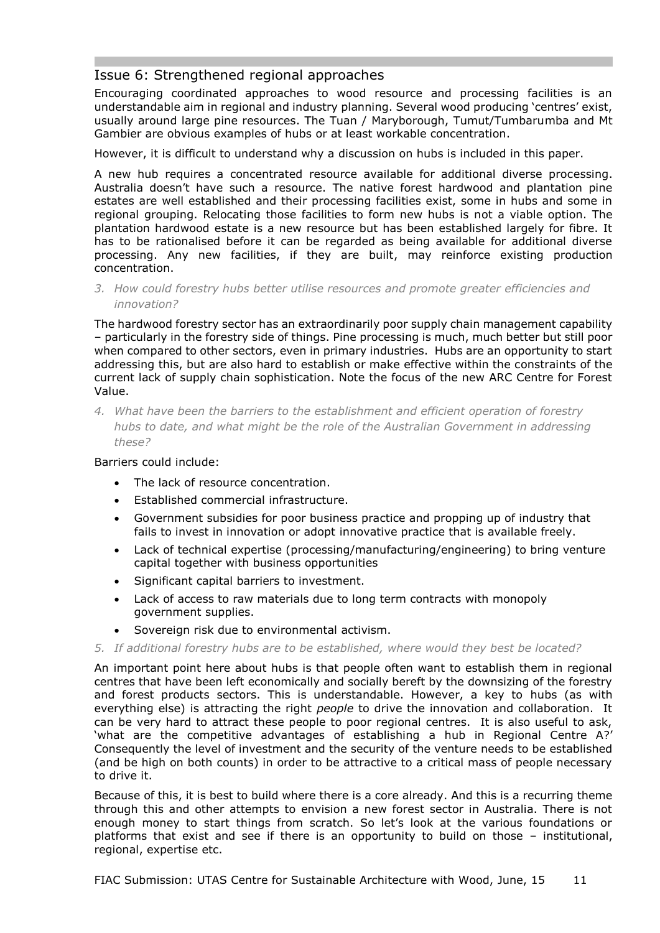# Issue 6: Strengthened regional approaches

Encouraging coordinated approaches to wood resource and processing facilities is an understandable aim in regional and industry planning. Several wood producing 'centres' exist, usually around large pine resources. The Tuan / Maryborough, Tumut/Tumbarumba and Mt Gambier are obvious examples of hubs or at least workable concentration.

However, it is difficult to understand why a discussion on hubs is included in this paper.

A new hub requires a concentrated resource available for additional diverse processing. Australia doesn't have such a resource. The native forest hardwood and plantation pine estates are well established and their processing facilities exist, some in hubs and some in regional grouping. Relocating those facilities to form new hubs is not a viable option. The plantation hardwood estate is a new resource but has been established largely for fibre. It has to be rationalised before it can be regarded as being available for additional diverse processing. Any new facilities, if they are built, may reinforce existing production concentration.

*3. How could forestry hubs better utilise resources and promote greater efficiencies and innovation?*

The hardwood forestry sector has an extraordinarily poor supply chain management capability – particularly in the forestry side of things. Pine processing is much, much better but still poor when compared to other sectors, even in primary industries. Hubs are an opportunity to start addressing this, but are also hard to establish or make effective within the constraints of the current lack of supply chain sophistication. Note the focus of the new ARC Centre for Forest Value.

*4. What have been the barriers to the establishment and efficient operation of forestry hubs to date, and what might be the role of the Australian Government in addressing these?*

#### Barriers could include:

- The lack of resource concentration.
- Established commercial infrastructure.
- Government subsidies for poor business practice and propping up of industry that fails to invest in innovation or adopt innovative practice that is available freely.
- Lack of technical expertise (processing/manufacturing/engineering) to bring venture capital together with business opportunities
- Significant capital barriers to investment.
- Lack of access to raw materials due to long term contracts with monopoly government supplies.
- Sovereign risk due to environmental activism.

#### *5. If additional forestry hubs are to be established, where would they best be located?*

An important point here about hubs is that people often want to establish them in regional centres that have been left economically and socially bereft by the downsizing of the forestry and forest products sectors. This is understandable. However, a key to hubs (as with everything else) is attracting the right *people* to drive the innovation and collaboration. It can be very hard to attract these people to poor regional centres. It is also useful to ask, 'what are the competitive advantages of establishing a hub in Regional Centre A?' Consequently the level of investment and the security of the venture needs to be established (and be high on both counts) in order to be attractive to a critical mass of people necessary to drive it.

Because of this, it is best to build where there is a core already. And this is a recurring theme through this and other attempts to envision a new forest sector in Australia. There is not enough money to start things from scratch. So let's look at the various foundations or platforms that exist and see if there is an opportunity to build on those – institutional, regional, expertise etc.